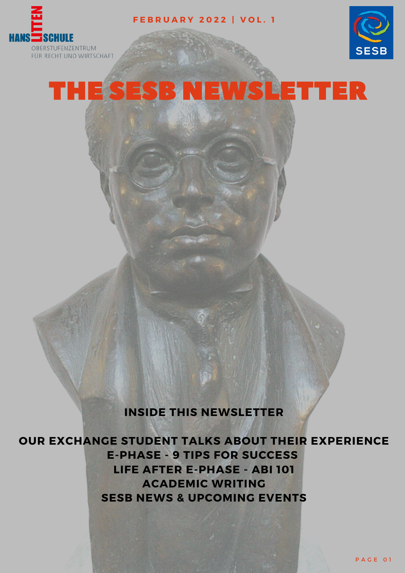

**F E B R U A R Y 2 0 2 2 | V O L . 1**



# THE SESB NEWSLETTER

#### **INSIDE THIS NEWSLETTER**

**OUR EXCHANGE STUDENT TALKS ABOUT THEIR EXPERIENCE E-PHASE - 9 TIPS FOR SUCCESS LIFE AFTER E-PHASE - ABI 101 ACADEMIC WRITING SESB NEWS & UPCOMING EVENTS**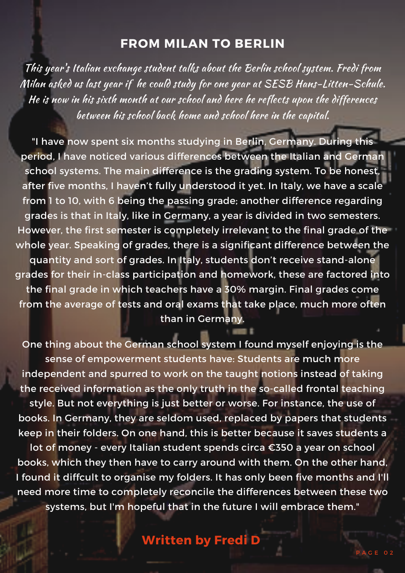### **FROM MILAN TO BERLIN**

This year 's Italian exchange student talks about the Berlin school system. Fredi from Milan asked us last year if he could study for one year at SESB Hans-Litten-Schule. He is now in his sixth month at our school and here he reflects upon the differences between his school back home and school here in the capital.

"I have now spent six months studying in Berlin, Germany. During this period, I have noticed various differences between the Italian and German school systems. The main difference is the grading system. To be honest, after five months, I haven't fully understood it yet. In Italy, we have a scale from 1 to 10, with 6 being the passing grade; another difference regarding grades is that in Italy, like in Germany, a year is divided in two semesters. However, the first semester is completely irrelevant to the final grade of the whole year. Speaking of grades, there is a significant difference between the quantity and sort of grades. In Italy, students don't receive stand-alone grades for their in-class participation and homework, these are factored into the final grade in which teachers have a 30% margin. Final grades come from the average of tests and oral exams that take place, much more often than in Germany.

One thing about the German school system I found myself enjoying is the sense of empowerment students have: Students are much more independent and spurred to work on the taught notions instead of taking the received information as the only truth in the so-called frontal teaching style. But not everything is just better or worse. For instance, the use of books. In Germany, they are seldom used, replaced by papers that students keep in their folders. On one hand, this is better because it saves students a lot of money - every Italian student spends circa €350 a year on school books, which they then have to carry around with them. On the other hand, I found it diffcult to organise my folders. It has only been five months and I'll

need more time to completely reconcile the differences between these two systems, but I'm hopeful that in the future I will embrace them."

## **Written by Fredi D**

P A G E 0 2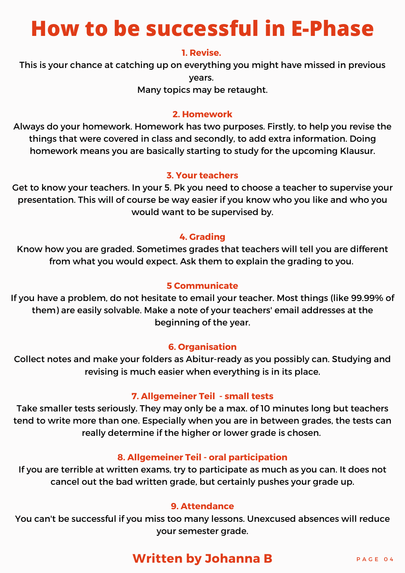# **How to be successful in E-Phase**

#### **1. Revise.**

This is your chance at catching up on everything you might have missed in previous years.

Many topics may be retaught.

#### **2. Homework**

Always do your homework. Homework has two purposes. Firstly, to help you revise the things that were covered in class and secondly, to add extra information. Doing homework means you are basically starting to study for the upcoming Klausur.

#### **3. Your teachers**

Get to know your teachers. In your 5. Pk you need to choose a teacher to supervise your presentation. This will of course be way easier if you know who you like and who you would want to be supervised by.

#### **4. Grading**

Know how you are graded. Sometimes grades that teachers will tell you are different from what you would expect. Ask them to explain the grading to you.

#### **5 Communicate**

If you have a problem, do not hesitate to email your teacher. Most things (like 99.99% of them) are easily solvable. Make a note of your teachers' email addresses at the beginning of the year.

#### **6. Organisation**

Collect notes and make your folders as Abitur-ready as you possibly can. Studying and revising is much easier when everything is in its place.

#### **7. Allgemeiner Teil - small tests**

Take smaller tests seriously. They may only be a max. of 10 minutes long but teachers tend to write more than one. Especially when you are in between grades, the tests can really determine if the higher or lower grade is chosen.

#### **8. Allgemeiner Teil - oral participation**

If you are terrible at written exams, try to participate as much as you can. It does not cancel out the bad written grade, but certainly pushes your grade up.

#### **9. Attendance**

You can't be successful if you miss too many lessons. Unexcused absences will reduce your semester grade.

## **Written by Johanna B** PAGE 04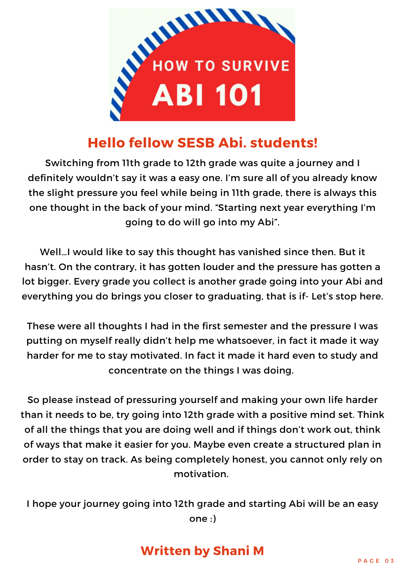

## **Hello fellow SESB Abi. students!**

Switching from 11th grade to 12th grade was quite a journey and I definitely wouldn't say it was a easy one. I'm sure all of you already know the slight pressure you feel while being in 11th grade, there is always this one thought in the back of your mind. "Starting next year everything I'm going to do will go into my Abi".

Well…I would like to say this thought has vanished since then. But it hasn't. On the contrary, it has gotten louder and the pressure has gotten a lot bigger. Every grade you collect is another grade going into your Abi and everything you do brings you closer to graduating, that is if- Let's stop here.

These were all thoughts I had in the first semester and the pressure I was putting on myself really didn't help me whatsoever, in fact it made it way harder for me to stay motivated. In fact it made it hard even to study and concentrate on the things I was doing.

So please instead of pressuring yourself and making your own life harder than it needs to be, try going into 12th grade with a positive mind set. Think of all the things that you are doing well and if things don't work out, think of ways that make it easier for you. Maybe even create a structured plan in order to stay on track. As being completely honest, you cannot only rely on motivation.

I hope your journey going into 12th grade and starting Abi will be an easy one :)

## **Written by Shani M**